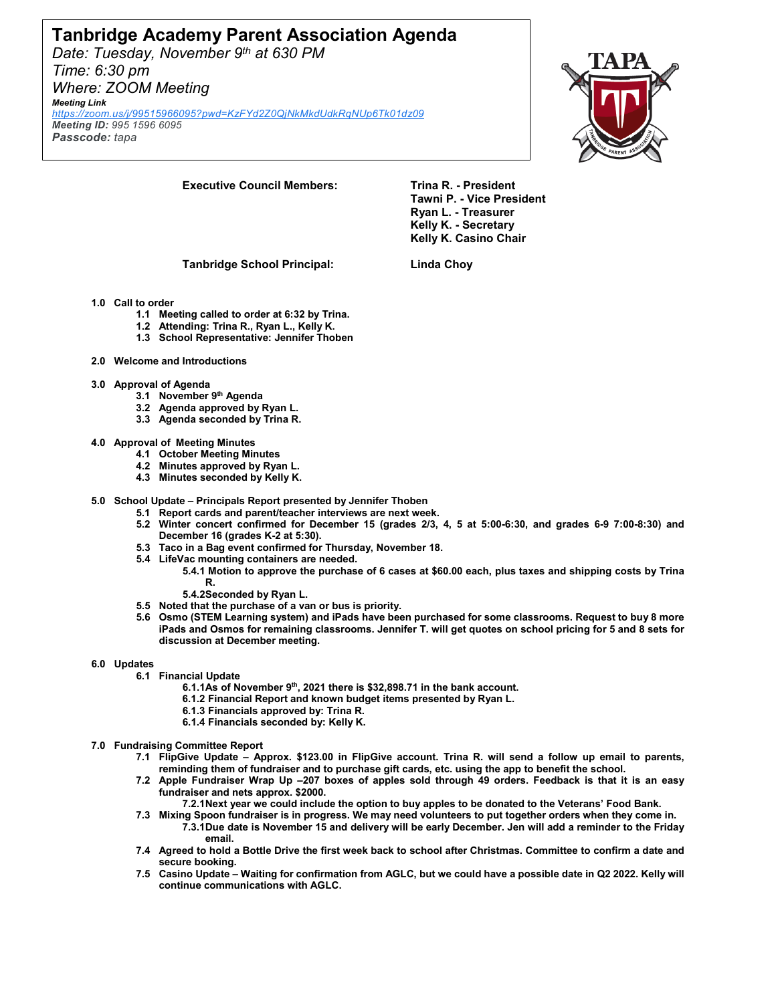## **Tanbridge Academy Parent Association Agenda**

*Date: Tuesday, November 9th at 630 PM Time: 6:30 pm Where: ZOOM Meeting*

*Meeting Link [https://zoom.us/j/99515966095?pwd=KzFYd2Z0QjNkMkdUdkRqNUp6Tk01dz09](https://www.google.com/url?q=https://zoom.us/j/99515966095?pwd%3DKzFYd2Z0QjNkMkdUdkRqNUp6Tk01dz09&sa=D&source=calendar&ust=1636754437440360&usg=AOvVaw2Y99CJrYfUHX1BER-hf0lM) Meeting ID: 995 1596 6095*

*Passcode: tapa*



**Executive Council Members: Trina R. - President** 

**Tawni P. - Vice President Ryan L. - Treasurer Kelly K. - Secretary Kelly K. Casino Chair**

**Tanbridge School Principal: Linda Choy**

### **1.0 Call to order**

- **1.1 Meeting called to order at 6:32 by Trina.**
- **1.2 Attending: Trina R., Ryan L., Kelly K.**
- **1.3 School Representative: Jennifer Thoben**
- **2.0 Welcome and Introductions**
- **3.0 Approval of Agenda** 
	- **3.1 November 9th Agenda**
	- **3.2 Agenda approved by Ryan L.**
	- **3.3 Agenda seconded by Trina R.**
- **4.0 Approval of Meeting Minutes**
	- **4.1 October Meeting Minutes**
	- **4.2 Minutes approved by Ryan L.**
	- **4.3 Minutes seconded by Kelly K.**
- **5.0 School Update – Principals Report presented by Jennifer Thoben**
	- **5.1 Report cards and parent/teacher interviews are next week.**
		- **5.2 Winter concert confirmed for December 15 (grades 2/3, 4, 5 at 5:00-6:30, and grades 6-9 7:00-8:30) and December 16 (grades K-2 at 5:30).**
		- **5.3 Taco in a Bag event confirmed for Thursday, November 18.**
		- **5.4 LifeVac mounting containers are needed.**
			- **5.4.1 Motion to approve the purchase of 6 cases at \$60.00 each, plus taxes and shipping costs by Trina R.** 
				- **5.4.2Seconded by Ryan L.**
		- **5.5 Noted that the purchase of a van or bus is priority.**
		- **5.6 Osmo (STEM Learning system) and iPads have been purchased for some classrooms. Request to buy 8 more iPads and Osmos for remaining classrooms. Jennifer T. will get quotes on school pricing for 5 and 8 sets for discussion at December meeting.**
- **6.0 Updates** 
	- **6.1 Financial Update**
		- **6.1.1As of November 9th, 2021 there is \$32,898.71 in the bank account.**
		- **6.1.2 Financial Report and known budget items presented by Ryan L.**
		- **6.1.3 Financials approved by: Trina R.**
		- **6.1.4 Financials seconded by: Kelly K.**
- **7.0 Fundraising Committee Report** 
	- **7.1 FlipGive Update – Approx. \$123.00 in FlipGive account. Trina R. will send a follow up email to parents, reminding them of fundraiser and to purchase gift cards, etc. using the app to benefit the school.**
	- **7.2 Apple Fundraiser Wrap Up –207 boxes of apples sold through 49 orders. Feedback is that it is an easy fundraiser and nets approx. \$2000.** 
		- **7.2.1Next year we could include the option to buy apples to be donated to the Veterans' Food Bank.**
	- **7.3 Mixing Spoon fundraiser is in progress. We may need volunteers to put together orders when they come in. 7.3.1Due date is November 15 and delivery will be early December. Jen will add a reminder to the Friday email.**
	- **7.4 Agreed to hold a Bottle Drive the first week back to school after Christmas. Committee to confirm a date and secure booking.**
	- **7.5 Casino Update – Waiting for confirmation from AGLC, but we could have a possible date in Q2 2022. Kelly will continue communications with AGLC.**